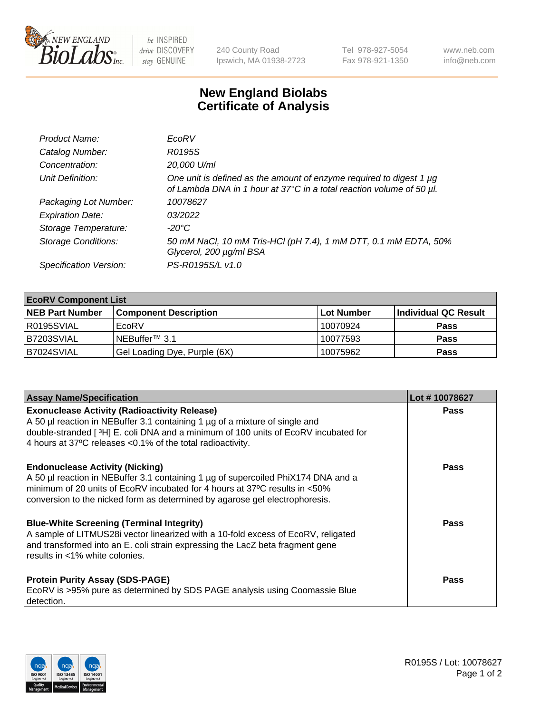

 $be$  INSPIRED drive DISCOVERY stay GENUINE

240 County Road Ipswich, MA 01938-2723 Tel 978-927-5054 Fax 978-921-1350 www.neb.com info@neb.com

## **New England Biolabs Certificate of Analysis**

| Product Name:              | EcoRV                                                                                                                                       |
|----------------------------|---------------------------------------------------------------------------------------------------------------------------------------------|
| Catalog Number:            | R0195S                                                                                                                                      |
| Concentration:             | 20,000 U/ml                                                                                                                                 |
| Unit Definition:           | One unit is defined as the amount of enzyme required to digest 1 µg<br>of Lambda DNA in 1 hour at 37°C in a total reaction volume of 50 µl. |
| Packaging Lot Number:      | 10078627                                                                                                                                    |
| <b>Expiration Date:</b>    | 03/2022                                                                                                                                     |
| Storage Temperature:       | $-20^{\circ}$ C                                                                                                                             |
| <b>Storage Conditions:</b> | 50 mM NaCl, 10 mM Tris-HCl (pH 7.4), 1 mM DTT, 0.1 mM EDTA, 50%<br>Glycerol, 200 µg/ml BSA                                                  |
| Specification Version:     | PS-R0195S/L v1.0                                                                                                                            |

| <b>EcoRV Component List</b> |                              |            |                      |  |  |
|-----------------------------|------------------------------|------------|----------------------|--|--|
| <b>NEB Part Number</b>      | <b>Component Description</b> | Lot Number | Individual QC Result |  |  |
| I R0195SVIAL                | EcoRV                        | 10070924   | <b>Pass</b>          |  |  |
| B7203SVIAL                  | INEBuffer™ 3.1               | 10077593   | <b>Pass</b>          |  |  |
| B7024SVIAL                  | Gel Loading Dye, Purple (6X) | 10075962   | <b>Pass</b>          |  |  |

| <b>Assay Name/Specification</b>                                                                                                                                                                                                                                                                      | Lot #10078627 |
|------------------------------------------------------------------------------------------------------------------------------------------------------------------------------------------------------------------------------------------------------------------------------------------------------|---------------|
| <b>Exonuclease Activity (Radioactivity Release)</b><br>A 50 µl reaction in NEBuffer 3.1 containing 1 µg of a mixture of single and<br>double-stranded [ <sup>3</sup> H] E. coli DNA and a minimum of 100 units of EcoRV incubated for<br>4 hours at 37°C releases < 0.1% of the total radioactivity. | <b>Pass</b>   |
| <b>Endonuclease Activity (Nicking)</b><br>A 50 µl reaction in NEBuffer 3.1 containing 1 µg of supercoiled PhiX174 DNA and a<br>minimum of 20 units of EcoRV incubated for 4 hours at 37°C results in <50%<br>conversion to the nicked form as determined by agarose gel electrophoresis.             | <b>Pass</b>   |
| <b>Blue-White Screening (Terminal Integrity)</b><br>A sample of LITMUS28i vector linearized with a 10-fold excess of EcoRV, religated<br>and transformed into an E. coli strain expressing the LacZ beta fragment gene<br>results in <1% white colonies.                                             | <b>Pass</b>   |
| <b>Protein Purity Assay (SDS-PAGE)</b><br>EcoRV is >95% pure as determined by SDS PAGE analysis using Coomassie Blue<br>detection.                                                                                                                                                                   | <b>Pass</b>   |